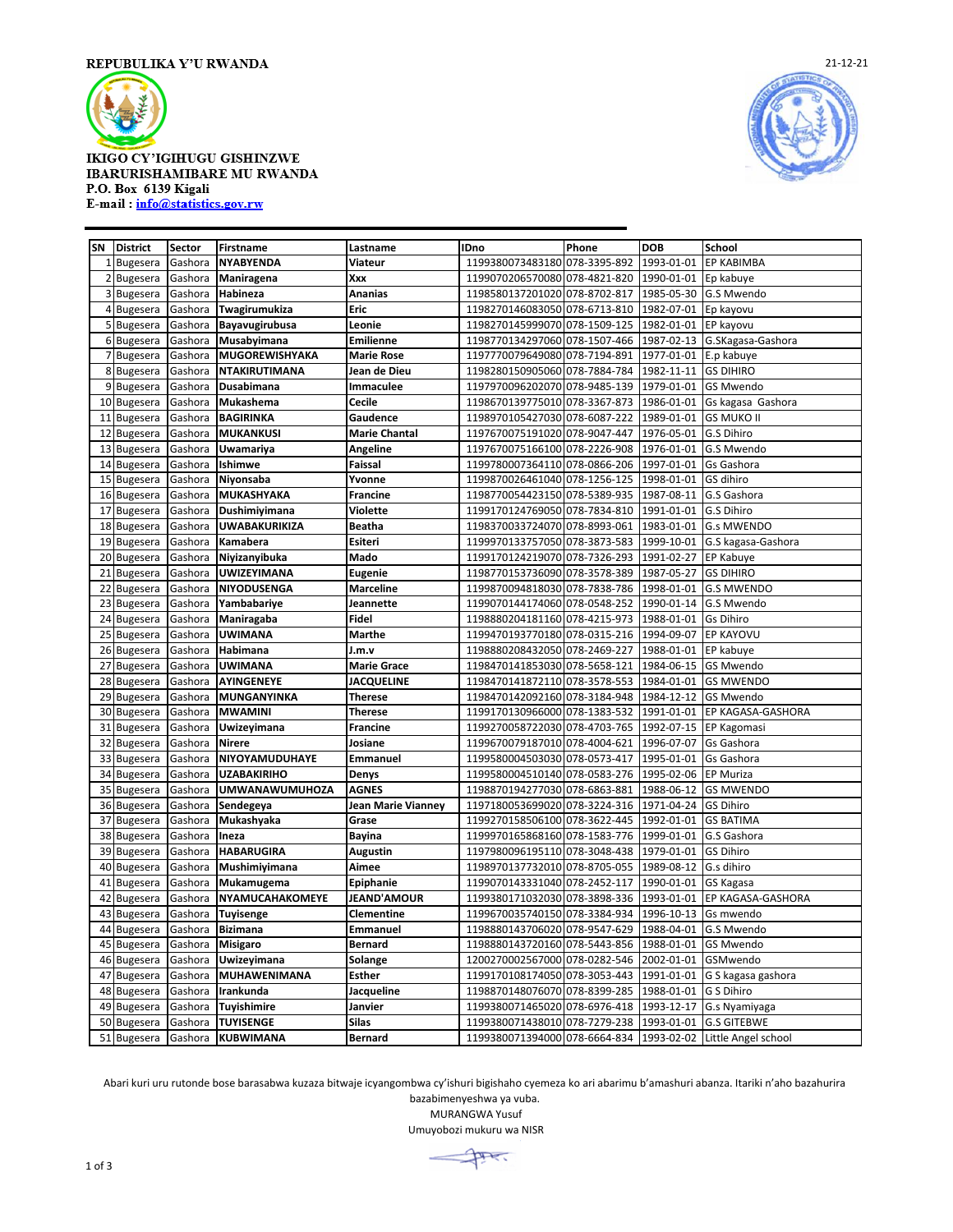

## IKIGO CY'IGIHUGU GISHINZWE **IBARURISHAMIBARE MU RWANDA** P.O. Box 6139 Kigali E-mail: info@statistics.gov.rw



| SN           | <b>District</b> | Sector  | Firstname             | Lastname             | <b>IDno</b>                                                  | Phone | <b>DOB</b> | School             |
|--------------|-----------------|---------|-----------------------|----------------------|--------------------------------------------------------------|-------|------------|--------------------|
| $\mathbf{1}$ | <b>Bugesera</b> | Gashora | <b>NYABYENDA</b>      | Viateur              | 1199380073483180 078-3395-892                                |       | 1993-01-01 | <b>EP KABIMBA</b>  |
|              | 2 Bugesera      | Gashora | Maniragena            | Xxx                  | 1199070206570080 078-4821-820                                |       | 1990-01-01 | Ep kabuye          |
|              | 3 Bugesera      | Gashora | Habineza              | Ananias              | 1198580137201020 078-8702-817                                |       | 1985-05-30 | G.S Mwendo         |
|              | 4 Bugesera      | Gashora | Twagirumukiza         | Eric                 | 1198270146083050 078-6713-810                                |       | 1982-07-01 | Ep kayovu          |
|              | 5 Bugesera      | Gashora | <b>Bayavugirubusa</b> | Leonie               | 1198270145999070 078-1509-125                                |       | 1982-01-01 | EP kayovu          |
|              | 6 Bugesera      | Gashora | Musabyimana           | <b>Emilienne</b>     | 1198770134297060 078-1507-466                                |       | 1987-02-13 | G.SKagasa-Gashora  |
|              | 7 Bugesera      | Gashora | <b>MUGOREWISHYAKA</b> | <b>Marie Rose</b>    | 1197770079649080 078-7194-891                                |       | 1977-01-01 | E.p kabuye         |
|              | 8 Bugesera      | Gashora | <b>NTAKIRUTIMANA</b>  | Jean de Dieu         | 1198280150905060 078-7884-784                                |       | 1982-11-11 | <b>GS DIHIRO</b>   |
|              | 9 Bugesera      | Gashora | Dusabimana            | Immaculee            | 1197970096202070 078-9485-139                                |       | 1979-01-01 | <b>GS Mwendo</b>   |
|              | 10 Bugesera     | Gashora | Mukashema             | Cecile               | 1198670139775010 078-3367-873                                |       | 1986-01-01 | Gs kagasa Gashora  |
| 11           | <b>Bugesera</b> | Gashora | <b>BAGIRINKA</b>      | Gaudence             | 1198970105427030 078-6087-222                                |       | 1989-01-01 | <b>GS MUKO II</b>  |
| 12           | Bugesera        | Gashora | <b>MUKANKUSI</b>      | <b>Marie Chantal</b> | 1197670075191020 078-9047-447                                |       | 1976-05-01 | G.S Dihiro         |
| 13           | <b>Bugesera</b> | Gashora | Uwamariya             | Angeline             | 1197670075166100 078-2226-908                                |       | 1976-01-01 | G.S Mwendo         |
| 14           | <b>Bugesera</b> | Gashora | Ishimwe               | Faissal              | 1199780007364110 078-0866-206                                |       | 1997-01-01 | Gs Gashora         |
| 15           | Bugesera        | Gashora | Niyonsaba             | Yvonne               | 1199870026461040 078-1256-125                                |       | 1998-01-01 | GS dihiro          |
| 16           | <b>Bugesera</b> | Gashora | MUKASHYAKA            | Francine             | 1198770054423150 078-5389-935                                |       | 1987-08-11 | G.S Gashora        |
| 17           | <b>Bugesera</b> | Gashora | Dushimiyimana         | <b>Violette</b>      | 1199170124769050 078-7834-810                                |       | 1991-01-01 | G.S Dihiro         |
| 18           | <b>Bugesera</b> | Gashora | <b>UWABAKURIKIZA</b>  | <b>Beatha</b>        | 1198370033724070 078-8993-061                                |       | 1983-01-01 | <b>G.s MWENDO</b>  |
|              | 19 Bugesera     | Gashora | Kamabera              | Esiteri              | 1199970133757050 078-3873-583                                |       | 1999-10-01 | G.S kagasa-Gashora |
| 20           | <b>Bugesera</b> | Gashora | Niyizanyibuka         | Mado                 | 1199170124219070 078-7326-293                                |       | 1991-02-27 | <b>EP Kabuye</b>   |
| 21           | <b>Bugesera</b> | Gashora | <b>UWIZEYIMANA</b>    | Eugenie              | 1198770153736090 078-3578-389                                |       | 1987-05-27 | <b>GS DIHIRO</b>   |
| 22           | <b>Bugesera</b> | Gashora | <b>NIYODUSENGA</b>    | <b>Marceline</b>     | 1199870094818030 078-7838-786                                |       | 1998-01-01 | <b>G.S MWENDO</b>  |
| 23           | <b>Bugesera</b> | Gashora | Yambabariye           | Jeannette            | 1199070144174060 078-0548-252                                |       | 1990-01-14 | G.S Mwendo         |
| 24           | <b>Bugesera</b> | Gashora | Maniragaba            | <b>Fidel</b>         | 1198880204181160 078-4215-973                                |       | 1988-01-01 | <b>Gs Dihiro</b>   |
| 25           | <b>Bugesera</b> | Gashora | <b>UWIMANA</b>        | Marthe               | 1199470193770180 078-0315-216                                |       | 1994-09-07 | <b>EP KAYOVU</b>   |
| 26           | <b>Bugesera</b> | Gashora | Habimana              | J.m.v                | 1198880208432050 078-2469-227                                |       | 1988-01-01 | EP kabuye          |
| 27           | <b>Bugesera</b> | Gashora | <b>UWIMANA</b>        | <b>Marie Grace</b>   | 1198470141853030 078-5658-121                                |       | 1984-06-15 | <b>GS Mwendo</b>   |
| 28           | <b>Bugesera</b> | Gashora | AYINGENEYE            | <b>JACQUELINE</b>    | 1198470141872110 078-3578-553                                |       | 1984-01-01 | <b>GS MWENDO</b>   |
| 29           | <b>Bugesera</b> | Gashora | MUNGANYINKA           | <b>Therese</b>       | 1198470142092160 078-3184-948                                |       | 1984-12-12 | <b>GS Mwendo</b>   |
|              | 30 Bugesera     | Gashora | <b>MWAMINI</b>        | Therese              | 1199170130966000 078-1383-532                                |       | 1991-01-01 | EP KAGASA-GASHORA  |
| 31           | <b>Bugesera</b> | Gashora | Uwizeyimana           | <b>Francine</b>      | 1199270058722030 078-4703-765                                |       | 1992-07-15 | EP Kagomasi        |
| 32           | <b>Bugesera</b> | Gashora | <b>Nirere</b>         | Josiane              | 1199670079187010 078-4004-621                                |       | 1996-07-07 | Gs Gashora         |
| 33           | <b>Bugesera</b> | Gashora | NIYOYAMUDUHAYE        | Emmanuel             | 1199580004503030 078-0573-417                                |       | 1995-01-01 | Gs Gashora         |
| 34           | <b>Bugesera</b> | Gashora | <b>UZABAKIRIHO</b>    | Denys                | 1199580004510140 078-0583-276                                |       | 1995-02-06 | <b>EP Muriza</b>   |
| 35           | Bugesera        | Gashora | <b>UMWANAWUMUHOZA</b> | <b>AGNES</b>         | 1198870194277030 078-6863-881                                |       | 1988-06-12 | <b>GS MWENDO</b>   |
| 36           | <b>Bugesera</b> | Gashora | Sendegeya             | Jean Marie Vianney   | 1197180053699020 078-3224-316                                |       | 1971-04-24 | <b>GS Dihiro</b>   |
| 37           | <b>Bugesera</b> | Gashora | Mukashyaka            | Grase                | 1199270158506100 078-3622-445                                |       | 1992-01-01 | <b>GS BATIMA</b>   |
| 38           | <b>Bugesera</b> | Gashora | Ineza                 | <b>Bayina</b>        | 1199970165868160 078-1583-776                                |       | 1999-01-01 | G.S Gashora        |
| 39           | <b>Bugesera</b> | Gashora | <b>HABARUGIRA</b>     | <b>Augustin</b>      | 1197980096195110 078-3048-438                                |       | 1979-01-01 | <b>GS Dihiro</b>   |
| 40           | <b>Bugesera</b> | Gashora | Mushimiyimana         | Aimee                | 1198970137732010 078-8705-055                                |       | 1989-08-12 | G.s dihiro         |
| 41           | <b>Bugesera</b> | Gashora | Mukamugema            | Epiphanie            | 1199070143331040 078-2452-117                                |       | 1990-01-01 | GS Kagasa          |
| 42           | <b>Bugesera</b> | Gashora | NYAMUCAHAKOMEYE       | <b>JEAND'AMOUR</b>   | 1199380171032030 078-3898-336                                |       | 1993-01-01 | EP KAGASA-GASHORA  |
| 43           | <b>Bugesera</b> | Gashora | <b>Tuyisenge</b>      | <b>Clementine</b>    | 1199670035740150 078-3384-934                                |       | 1996-10-13 | Gs mwendo          |
| 44           | Bugesera        | Gashora | <b>Bizimana</b>       | <b>Emmanuel</b>      | 1198880143706020 078-9547-629                                |       | 1988-04-01 | G.S Mwendo         |
| 45           | <b>Bugesera</b> | Gashora | <b>Misigaro</b>       | <b>Bernard</b>       | 1198880143720160 078-5443-856                                |       | 1988-01-01 | <b>GS Mwendo</b>   |
| 46           | <b>Bugesera</b> | Gashora | Uwizeyimana           | Solange              | 1200270002567000 078-0282-546                                |       | 2002-01-01 | GSMwendo           |
| 47           | <b>Bugesera</b> | Gashora | <b>MUHAWENIMANA</b>   | <b>Esther</b>        | 1199170108174050 078-3053-443                                |       | 1991-01-01 | G S kagasa gashora |
| 48           | Bugesera        | Gashora | Irankunda             | Jacqueline           | 1198870148076070 078-8399-285                                |       | 1988-01-01 | G S Dihiro         |
| 49           | <b>Bugesera</b> | Gashora | Tuyishimire           | Janvier              | 1199380071465020 078-6976-418                                |       | 1993-12-17 | G.s Nyamiyaga      |
|              | 50 Bugesera     | Gashora | <b>TUYISENGE</b>      | <b>Silas</b>         | 1199380071438010 078-7279-238 1993-01-01 G.S GITEBWE         |       |            |                    |
|              | 51 Bugesera     | Gashora | <b>KUBWIMANA</b>      | <b>Bernard</b>       | 1199380071394000 078-6664-834 1993-02-02 Little Angel school |       |            |                    |

Abari kuri uru rutonde bose barasabwa kuzaza bitwaje icyangombwa cy'ishuri bigishaho cyemeza ko ari abarimu b'amashuri abanza. Itariki n'aho bazahurira bazabimenyeshwa ya vuba.

MURANGWA Yusuf

Umuyobozi mukuru wa NISR

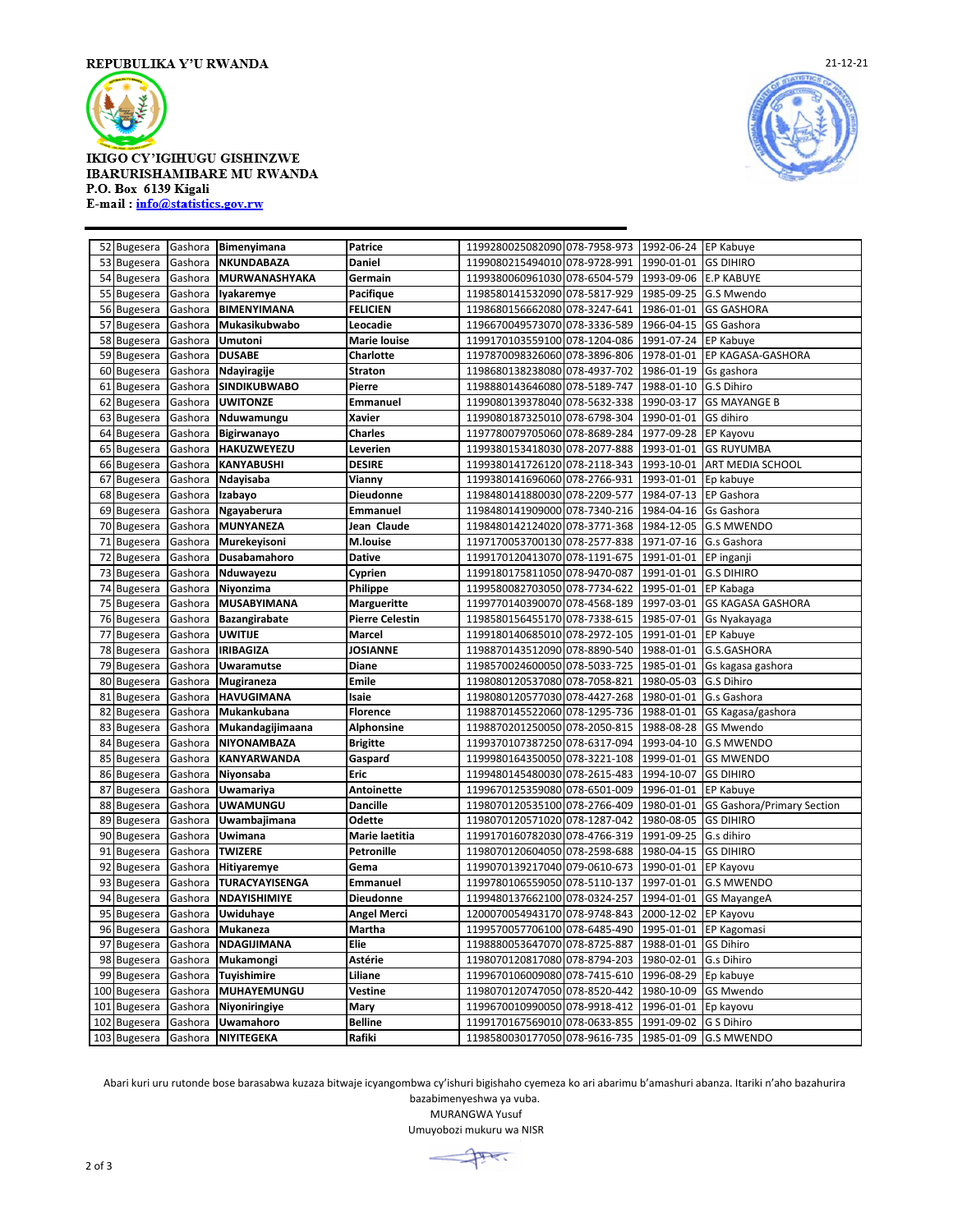

IKIGO CY'IGIHUGU GISHINZWE **IBARURISHAMIBARE MU RWANDA** P.O. Box 6139 Kigali E-mail: info@statistics.gov.rw



|     | 52 Bugesera     |         | Gashora Bimenyimana   | Patrice                | 1199280025082090 078-7958-973 1992-06-24 EP Kabuye  |                      |                                   |
|-----|-----------------|---------|-----------------------|------------------------|-----------------------------------------------------|----------------------|-----------------------------------|
| 53  | <b>Bugesera</b> | Gashora | <b>NKUNDABAZA</b>     | Daniel                 | 1199080215494010 078-9728-991                       | 1990-01-01           | <b>GS DIHIRO</b>                  |
| 54  | <b>Bugesera</b> | Gashora | <b>MURWANASHYAKA</b>  | Germain                | 1199380060961030 078-6504-579                       | 1993-09-06           | <b>E.P KABUYE</b>                 |
| 55  | <b>Bugesera</b> | Gashora | Iyakaremye            | Pacifique              | 1198580141532090 078-5817-929                       | 1985-09-25           | G.S Mwendo                        |
| 56  | <b>Bugesera</b> | Gashora | <b>BIMENYIMANA</b>    | <b>FELICIEN</b>        | 1198680156662080 078-3247-641                       | 1986-01-01           | <b>GS GASHORA</b>                 |
| 57  | <b>Bugesera</b> | Gashora | Mukasikubwabo         | Leocadie               | 1196670049573070 078-3336-589                       | 1966-04-15           | <b>GS Gashora</b>                 |
| 58  | <b>Bugesera</b> | Gashora | Umutoni               | <b>Marie louise</b>    | 1199170103559100 078-1204-086                       | 1991-07-24           | <b>EP Kabuye</b>                  |
|     | 59 Bugesera     | Gashora | <b>DUSABE</b>         | Charlotte              | 1197870098326060 078-3896-806                       | 1978-01-01           | EP KAGASA-GASHORA                 |
| 60  | <b>Bugesera</b> | Gashora | Ndayiragije           | <b>Straton</b>         | 1198680138238080 078-4937-702                       | 1986-01-19           | Gs gashora                        |
| 61  | <b>Bugesera</b> | Gashora | <b>SINDIKUBWABO</b>   | Pierre                 | 1198880143646080 078-5189-747                       | 1988-01-10           | G.S Dihiro                        |
| 62  | <b>Bugesera</b> | Gashora | <b>UWITONZE</b>       | Emmanuel               | 1199080139378040 078-5632-338                       | 1990-03-17           | <b>GS MAYANGE B</b>               |
| 63  | <b>Bugesera</b> | Gashora | Nduwamungu            | Xavier                 | 1199080187325010 078-6798-304                       | 1990-01-01           | GS dihiro                         |
| 64  | <b>Bugesera</b> | Gashora | <b>Bigirwanayo</b>    | <b>Charles</b>         | 1197780079705060 078-8689-284                       | 1977-09-28           | EP Kayovu                         |
| 65  | <b>Bugesera</b> | Gashora | <b>HAKUZWEYEZU</b>    | Leverien               | 1199380153418030 078-2077-888                       | 1993-01-01           | <b>GS RUYUMBA</b>                 |
| 66  | <b>Bugesera</b> | Gashora | <b>KANYABUSHI</b>     | <b>DESIRE</b>          | 1199380141726120 078-2118-343                       | 1993-10-01           | ART MEDIA SCHOOL                  |
| 67  | <b>Bugesera</b> | Gashora | Ndayisaba             | Vianny                 | 1199380141696060 078-2766-931                       | 1993-01-01           | Ep kabuye                         |
| 68  | <b>Bugesera</b> | Gashora | Izabayo               | <b>Dieudonne</b>       | 1198480141880030 078-2209-577                       | 1984-07-13           | <b>EP Gashora</b>                 |
| 69  | <b>Bugesera</b> | Gashora | Ngayaberura           | Emmanuel               | 1198480141909000 078-7340-216                       | 1984-04-16           | Gs Gashora                        |
|     | 70 Bugesera     | Gashora | <b>MUNYANEZA</b>      | Jean Claude            | 1198480142124020 078-3771-368                       | 1984-12-05           | <b>G.S MWENDO</b>                 |
| 71  | <b>Bugesera</b> | Gashora | Murekeyisoni          | <b>M.louise</b>        | 1197170053700130 078-2577-838                       | 1971-07-16           | G.s Gashora                       |
| 72  | Bugesera        | Gashora | Dusabamahoro          | <b>Dative</b>          | 1199170120413070 078-1191-675                       | 1991-01-01           | EP inganji                        |
| 73  | <b>Bugesera</b> | Gashora | Nduwayezu             | Cyprien                | 1199180175811050 078-9470-087                       | 1991-01-01           | <b>G.S DIHIRO</b>                 |
| 74  | <b>Bugesera</b> | Gashora | Niyonzima             | Philippe               | 1199580082703050 078-7734-622                       | 1995-01-01 EP Kabaga |                                   |
| 75  | <b>Bugesera</b> | Gashora | <b>MUSABYIMANA</b>    | Margueritte            | 1199770140390070 078-4568-189                       | 1997-03-01           | <b>GS KAGASA GASHORA</b>          |
| 76  | <b>Bugesera</b> | Gashora | <b>Bazangirabate</b>  | <b>Pierre Celestin</b> | 1198580156455170 078-7338-615                       | 1985-07-01           | Gs Nyakayaga                      |
| 77  | Bugesera        | Gashora | <b>UWITIJE</b>        | <b>Marcel</b>          | 1199180140685010 078-2972-105                       | 1991-01-01           | EP Kabuye                         |
| 78  | <b>Bugesera</b> | Gashora | <b>IRIBAGIZA</b>      | <b>JOSIANNE</b>        | 1198870143512090 078-8890-540                       | 1988-01-01           | G.S.GASHORA                       |
| 79  | Bugesera        | Gashora | <b>Uwaramutse</b>     | Diane                  | 1198570024600050 078-5033-725                       | 1985-01-01           | Gs kagasa gashora                 |
| 80  | <b>Bugesera</b> | Gashora | Mugiraneza            | <b>Emile</b>           | 1198080120537080 078-7058-821                       | 1980-05-03           | G.S Dihiro                        |
| 81  | <b>Bugesera</b> | Gashora | <b>HAVUGIMANA</b>     | Isaie                  | 1198080120577030 078-4427-268                       | 1980-01-01           | G.s Gashora                       |
| 82  | <b>Bugesera</b> | Gashora | Mukankubana           | <b>Florence</b>        | 1198870145522060 078-1295-736                       | 1988-01-01           | GS Kagasa/gashora                 |
| 83  | <b>Bugesera</b> | Gashora | Mukandagijimaana      | Alphonsine             | 1198870201250050 078-2050-815                       | 1988-08-28           | <b>GS Mwendo</b>                  |
| 84  | <b>Bugesera</b> | Gashora | NIYONAMBAZA           | <b>Brigitte</b>        | 1199370107387250 078-6317-094                       | 1993-04-10           | <b>G.S MWENDO</b>                 |
| 85  | <b>Bugesera</b> | Gashora | <b>KANYARWANDA</b>    | Gaspard                | 1199980164350050 078-3221-108                       | 1999-01-01           | <b>GS MWENDO</b>                  |
| 86  | Bugesera        | Gashora | Niyonsaba             | Eric                   | 1199480145480030 078-2615-483                       | 1994-10-07           | <b>GS DIHIRO</b>                  |
| 87  | <b>Bugesera</b> | Gashora | Uwamariya             | <b>Antoinette</b>      | 1199670125359080 078-6501-009                       | 1996-01-01           | <b>EP Kabuye</b>                  |
| 88  | Bugesera        | Gashora | <b>UWAMUNGU</b>       | <b>Dancille</b>        | 1198070120535100 078-2766-409                       | 1980-01-01           | <b>GS Gashora/Primary Section</b> |
| 89  | <b>Bugesera</b> | Gashora | Uwambajimana          | Odette                 | 1198070120571020 078-1287-042                       | 1980-08-05           | <b>GS DIHIRO</b>                  |
| 90  | <b>Bugesera</b> | Gashora | Uwimana               | Marie laetitia         | 1199170160782030 078-4766-319                       | 1991-09-25           | G.s dihiro                        |
| 91  | <b>Bugesera</b> | Gashora | <b>TWIZERE</b>        | <b>Petronille</b>      | 1198070120604050 078-2598-688                       | 1980-04-15           | <b>GS DIHIRO</b>                  |
| 92  | <b>Bugesera</b> | Gashora | Hitiyaremye           | Gema                   | 1199070139217040 079-0610-673                       | 1990-01-01           | EP Kayovu                         |
| 93  | Bugesera        | Gashora | <b>TURACYAYISENGA</b> | <b>Emmanuel</b>        | 1199780106559050 078-5110-137                       | 1997-01-01           | <b>G.S MWENDO</b>                 |
| 94  | <b>Bugesera</b> | Gashora | NDAYISHIMIYE          | Dieudonne              | 1199480137662100 078-0324-257                       | 1994-01-01           | <b>GS MayangeA</b>                |
| 95  | Bugesera        | Gashora | <b>Uwiduhaye</b>      | <b>Angel Merci</b>     | 1200070054943170 078-9748-843                       | 2000-12-02           | <b>EP Kayovu</b>                  |
| 96  | Bugesera        | Gashora | Mukaneza              | Martha                 | 1199570057706100 078-6485-490                       | 1995-01-01           | EP Kagomasi                       |
| 97  | Bugesera        | Gashora | NDAGIJIMANA           | Elie                   | 1198880053647070 078-8725-887                       | 1988-01-01           | <b>GS Dihiro</b>                  |
| 98  | <b>Bugesera</b> | Gashora | Mukamongi             | Astérie                | 1198070120817080 078-8794-203                       | 1980-02-01           | G.s Dihiro                        |
| 99  | <b>Bugesera</b> | Gashora | Tuyishimire           | Liliane                | 1199670106009080 078-7415-610                       | 1996-08-29           | Ep kabuye                         |
|     | 100 Bugesera    | Gashora | MUHAYEMUNGU           | Vestine                | 1198070120747050 078-8520-442                       | 1980-10-09           | GS Mwendo                         |
| 101 | <b>Bugesera</b> | Gashora | Niyoniringiye         | Mary                   | 1199670010990050 078-9918-412                       | 1996-01-01           | Ep kayovu                         |
| 102 | Bugesera        | Gashora | Uwamahoro             | <b>Belline</b>         | 1199170167569010 078-0633-855 1991-09-02 G S Dihiro |                      |                                   |
|     | 103 Bugesera    | Gashora | NIYITEGEKA            | Rafiki                 | 1198580030177050 078-9616-735 1985-01-09 G.S MWENDO |                      |                                   |
|     |                 |         |                       |                        |                                                     |                      |                                   |

Abari kuri uru rutonde bose barasabwa kuzaza bitwaje icyangombwa cy'ishuri bigishaho cyemeza ko ari abarimu b'amashuri abanza. Itariki n'aho bazahurira bazabimenyeshwa ya vuba.

MURANGWA Yusuf

Umuyobozi mukuru wa NISR